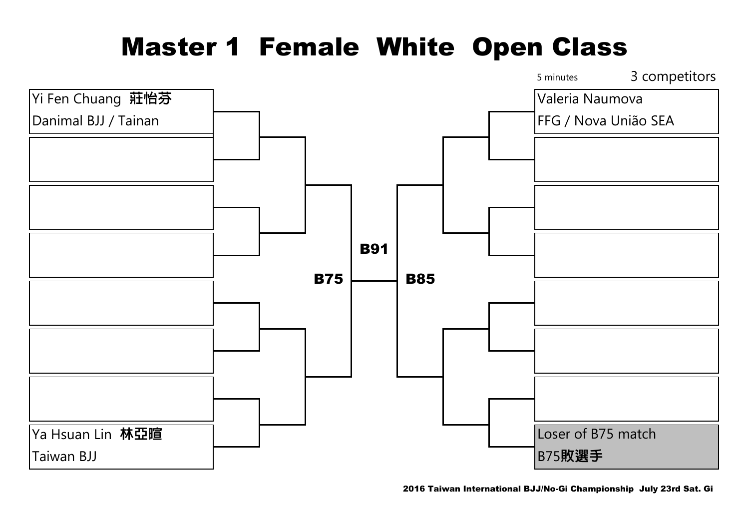## Master 1 Female White Open Class

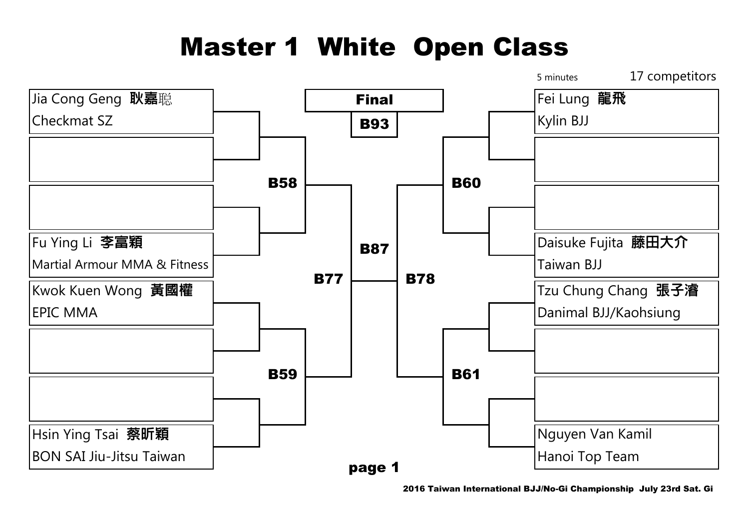## Master 1 White Open Class



2016 Taiwan International BJJ/No-Gi Championship July 23rd Sat. Gi